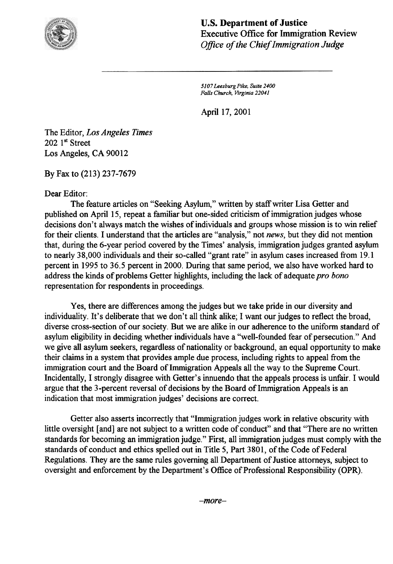

U.S. Department of Justice Executive Office for Immigration Review Office of the Chief Immigration Judge

5107 Leesburg Pike. Suite 2400 Falls Church. Virginia 22041

Apri117, 2001

The Editor, Los Angeles Times  $202$  1st Street Los Angeles, CA 90012

By Fax to (213) 237-7679

## Dear Editor:

The feature articles on "Seeking Asylum," written by staff writer Lisa Getter and published on April 15, repeat a familiar but one-sided criticism of immigration judges whose decisions don't always match the wishes of individuals and groups whose mission is to win relief for their clients. I understand that the articles are "analysis," not news, but they did not mention that, during the 6-year period covered by the Times' analysis, immigration judges granted asylum to nearly 38,000 individuals and their so-called "grant rate" in asylum cases increased from 19.1 percent in 1995 to 36.5 percent in 2000. During that same period, we also have worked hard to address the kinds of problems Getter highlights, including the lack of adequate pro bono representation for respondents in proceedings.

Yes, there are differences among the judges but we take pride in our diversity and individuality. It's deliberate that we don't all think alike; I want our judges to reflect the broad, diverse cross-section of our society. But we are alike in our adherence to the uniform standard of asylum eligibility in deciding whether individuals have a "well-founded fear of persecution." And we give all asylum seekers, regardless of nationality or background, an equal opportunity to make their claims in a system that provides ample due process, including rights to appeal from the immigration court and the Board of Immigration Appeals all the way to the Supreme Court. Incidentally, I strongly disagree with Getter's innuendo that the appeals process is unfair. I would argue that the 3-percent reversal of decisions by the Board of Immigration Appeals is an indication that most immigration judges' decisions are correct.

Getter also asserts incorrectly that "Immigration judges work in relative obscurity with little oversight [and] are not subject to a written code of conduct" and that "There are no written standards for becoming an immigration judge." First, all immigration judges must comply with the standards of conduct and ethics spelled out in Title 5, Part 3801, of the Code of Federal Regulations. They are the same rules governing all Department of Justice attorneys, subject to oversight and enforcement by the Department's Office of Professional Responsibility (OPR).

-more-